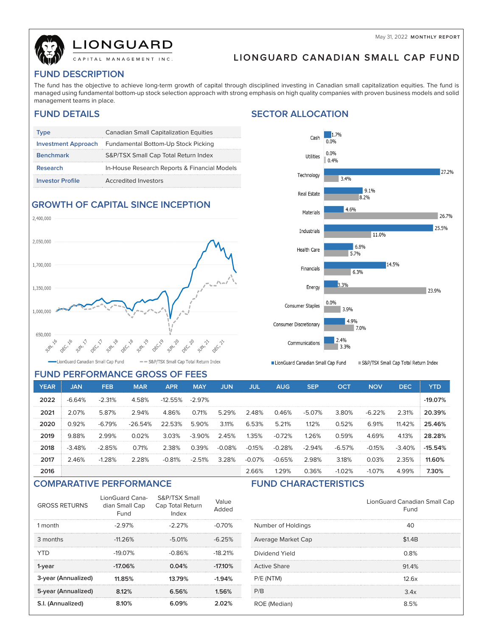May 31, 2022 **MONTHLY REPORT**



# **IONGUARD**

## **LIONGUARD CANADIAN SMALL CAP FUND**

### **FUND DESCRIPTION**

The fund has the objective to achieve long-term growth of capital through disciplined investing in Canadian small capitalization equities. The fund is managed using fundamental bottom-up stock selection approach with strong emphasis on high quality companies with proven business models and solid management teams in place.

### **FUND DETAILS SECTOR ALLOCATION**

| Type                       | <b>Canadian Small Capitalization Equities</b> |
|----------------------------|-----------------------------------------------|
| <b>Investment Approach</b> | Fundamental Bottom-Up Stock Picking           |
| <b>Benchmark</b>           | S&P/TSX Small Cap Total Return Index          |
| <b>Research</b>            | In-House Research Reports & Financial Models  |
| <b>Investor Profile</b>    | Accredited Investors                          |

### **GROWTH OF CAPITAL SINCE INCEPTION**



### **FUND PERFORMANCE GROSS OF FEES**

#### $1.7%$ Cash  $0.096$  $0.0%$ Utilities  $| 0.4%$ 27.2% Technology 3.4%  $9.1%$ Real Estate 8.2% 4.6% Materials 26.7% 25.5% Industrials 11.0% 6.8% Health Care 5.7% 14.5% Financials 6.3% 3.3% Energy 23.9% 0.0% Consumer Staples 3.9% 4 9% Consumer Discretionary 7.0% 2.4% Communications  $3.3%$

LionGuard Canadian Small Cap Fund

S&P/TSX Small Cap Total Return Index

| <b>YEAR</b> | <b>JAN</b> | <b>FEB</b> | <b>MAR</b> | <b>APR</b> | <b>MAY</b> | JUN      | JUL      | <b>AUG</b> | <b>SEP</b> | <b>OCT</b> | <b>NOV</b> | <b>DEC</b> | <b>YTD</b> |
|-------------|------------|------------|------------|------------|------------|----------|----------|------------|------------|------------|------------|------------|------------|
| 2022        | $-6.64%$   | $-2.31%$   | 4.58%      | $-12.55\%$ | $-2.97\%$  |          |          |            |            |            |            |            | $-19.07%$  |
| 2021        | 2.07%      | 5.87%      | 2.94%      | 4.86%      | 0.71%      | 5.29%    | 2.48%    | 0.46%      | $-5.07%$   | 3.80%      | $-6.22%$   | 2.31%      | 20.39%     |
| 2020        | 0.92%      | $-6.79%$   | $-26.54%$  | 22.53%     | 5.90%      | 3.11%    | 6.53%    | 5.21%      | 1.12%      | 0.52%      | 6.91%      | 11.42%     | 25.46%     |
| 2019        | 9.88%      | 2.99%      | 0.02%      | 3.03%      | $-3.90\%$  | 2.45%    | 1.35%    | $-0.72%$   | 1.26%      | 0.59%      | 4.69%      | 4.13%      | 28.28%     |
| 2018        | $-3.48%$   | $-2.85%$   | 0.71%      | 2.38%      | 0.39%      | $-0.08%$ | $-0.15%$ | $-0.28%$   | $-2.94%$   | $-6.57%$   | $-0.15%$   | $-3.40%$   | $-15.54%$  |
| 2017        | 2.46%      | $-1.28%$   | 2.28%      | $-0.81%$   | $-2.51%$   | 3.28%    | $-0.07%$ | $-0.65%$   | 2.98%      | 3.18%      | 0.03%      | 2.35%      | 11.60%     |
| 2016        |            |            |            |            |            |          | 2.66%    | 1.29%      | 0.36%      | $-1.02%$   | $-1.07%$   | 4.99%      | 7.30%      |

#### **COMPARATIVE PERFORMANCE FUND CHARACTERISTICS**

| <b>GROSS RETURNS</b> | LionGuard Cana-<br>dian Small Cap<br>Fund | S&P/TSX Small<br>Cap Total Return<br>Index | Value<br>Added |
|----------------------|-------------------------------------------|--------------------------------------------|----------------|
| 1 month              | $-2.97\%$                                 | $-2.27\%$                                  | $-0.70%$       |
| 3 months             | $-11.26%$                                 | $-5.01%$                                   | $-6.25%$       |
| YTD                  | $-19.07%$                                 | $-0.86%$                                   | $-18.21%$      |
| 1-year               | $-17.06%$                                 | 0.04%                                      | $-17.10\%$     |
| 3-year (Annualized)  | 11.85%                                    | 13.79%                                     | $-1.94%$       |
| 5-year (Annualized)  | 8.12%                                     | 6.56%                                      | 1.56%          |
| S.I. (Annualized)    | 8.10%                                     | 6.09%                                      | 2.02%          |

|                     | LionGuard Canadian Small Cap<br>Fund |
|---------------------|--------------------------------------|
| Number of Holdings  | 40                                   |
| Average Market Cap  | \$1.4B                               |
| Dividend Yield      | 0.8%                                 |
| <b>Active Share</b> | 91.4%                                |
| P/E (NTM)           | 12.6x                                |
| P/B                 | 3.4x                                 |
| ROE (Median)        | 8.5%                                 |